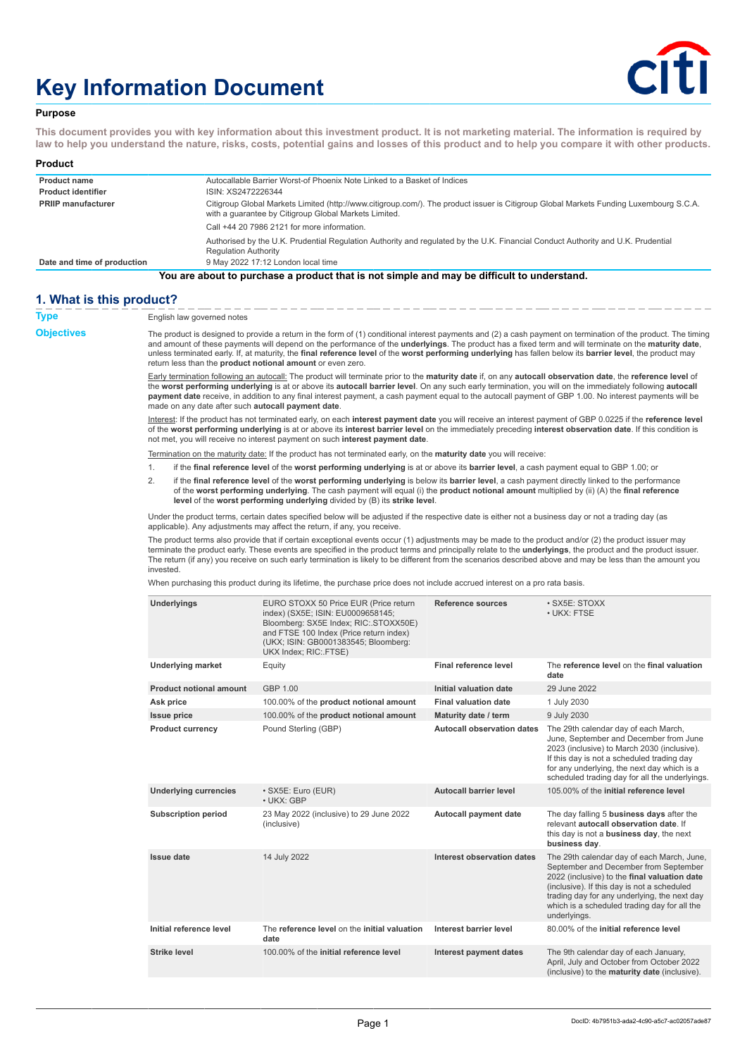# **Key Information Document**



#### **Purpose**

**This document provides you with key information about this investment product. It is not marketing material. The information is required by law to help you understand the nature, risks, costs, potential gains and losses of this product and to help you compare it with other products.**

| Product                                                                                   |                                                                                                                                                                                                 |  |  |
|-------------------------------------------------------------------------------------------|-------------------------------------------------------------------------------------------------------------------------------------------------------------------------------------------------|--|--|
| <b>Product name</b>                                                                       | Autocallable Barrier Worst-of Phoenix Note Linked to a Basket of Indices                                                                                                                        |  |  |
| <b>Product identifier</b>                                                                 | ISIN: XS2472226344                                                                                                                                                                              |  |  |
| <b>PRIIP manufacturer</b>                                                                 | Citigroup Global Markets Limited (http://www.citigroup.com/). The product issuer is Citigroup Global Markets Funding Luxembourg S.C.A.<br>with a quarantee by Citigroup Global Markets Limited. |  |  |
|                                                                                           | Call +44 20 7986 2121 for more information.                                                                                                                                                     |  |  |
|                                                                                           | Authorised by the U.K. Prudential Regulation Authority and regulated by the U.K. Financial Conduct Authority and U.K. Prudential<br><b>Regulation Authority</b>                                 |  |  |
| Date and time of production                                                               | 9 May 2022 17:12 London local time                                                                                                                                                              |  |  |
| Vou are about to purchase a product that is not simple and may be difficult to understand |                                                                                                                                                                                                 |  |  |

#### **You are about to purchase a product that is not simple and may be difficult to understand.**

## **1. What is this product?**

| <b>Type</b>       | English law governed notes                                                                                                                                                                                                                                                                                                                                                                                                                                                                                                                                |                                                                                                                                                                                                                                                                                                                                                                                                                                                                                    |                                   |                                                                                                                                                                                                                                                                                                    |  |
|-------------------|-----------------------------------------------------------------------------------------------------------------------------------------------------------------------------------------------------------------------------------------------------------------------------------------------------------------------------------------------------------------------------------------------------------------------------------------------------------------------------------------------------------------------------------------------------------|------------------------------------------------------------------------------------------------------------------------------------------------------------------------------------------------------------------------------------------------------------------------------------------------------------------------------------------------------------------------------------------------------------------------------------------------------------------------------------|-----------------------------------|----------------------------------------------------------------------------------------------------------------------------------------------------------------------------------------------------------------------------------------------------------------------------------------------------|--|
| <b>Objectives</b> | The product is designed to provide a return in the form of (1) conditional interest payments and (2) a cash payment on termination of the product. The timing<br>and amount of these payments will depend on the performance of the underlyings. The product has a fixed term and will terminate on the maturity date,<br>unless terminated early. If, at maturity, the final reference level of the worst performing underlying has fallen below its barrier level, the product may<br>return less than the <b>product notional amount</b> or even zero. |                                                                                                                                                                                                                                                                                                                                                                                                                                                                                    |                                   |                                                                                                                                                                                                                                                                                                    |  |
|                   | made on any date after such autocall payment date.                                                                                                                                                                                                                                                                                                                                                                                                                                                                                                        | Early termination following an autocall: The product will terminate prior to the maturity date if, on any autocall observation date, the reference level of<br>the worst performing underlying is at or above its autocall barrier level. On any such early termination, you will on the immediately following autocall<br>payment date receive, in addition to any final interest payment, a cash payment equal to the autocall payment of GBP 1.00. No interest payments will be |                                   |                                                                                                                                                                                                                                                                                                    |  |
|                   |                                                                                                                                                                                                                                                                                                                                                                                                                                                                                                                                                           | Interest: If the product has not terminated early, on each interest payment date you will receive an interest payment of GBP 0.0225 if the reference level<br>of the worst performing underlying is at or above its interest barrier level on the immediately preceding interest observation date. If this condition is<br>not met, you will receive no interest payment on such interest payment date.                                                                            |                                   |                                                                                                                                                                                                                                                                                                    |  |
|                   |                                                                                                                                                                                                                                                                                                                                                                                                                                                                                                                                                           | Termination on the maturity date: If the product has not terminated early, on the maturity date you will receive:                                                                                                                                                                                                                                                                                                                                                                  |                                   |                                                                                                                                                                                                                                                                                                    |  |
|                   | 1.                                                                                                                                                                                                                                                                                                                                                                                                                                                                                                                                                        | if the final reference level of the worst performing underlying is at or above its barrier level, a cash payment equal to GBP 1.00; or                                                                                                                                                                                                                                                                                                                                             |                                   |                                                                                                                                                                                                                                                                                                    |  |
|                   | 2.                                                                                                                                                                                                                                                                                                                                                                                                                                                                                                                                                        | if the final reference level of the worst performing underlying is below its barrier level, a cash payment directly linked to the performance<br>of the worst performing underlying. The cash payment will equal (i) the product notional amount multiplied by (ii) (A) the final reference<br>level of the worst performing underlying divided by (B) its strike level.                                                                                                           |                                   |                                                                                                                                                                                                                                                                                                    |  |
|                   |                                                                                                                                                                                                                                                                                                                                                                                                                                                                                                                                                           | Under the product terms, certain dates specified below will be adjusted if the respective date is either not a business day or not a trading day (as<br>applicable). Any adjustments may affect the return, if any, you receive.                                                                                                                                                                                                                                                   |                                   |                                                                                                                                                                                                                                                                                                    |  |
|                   | The product terms also provide that if certain exceptional events occur (1) adjustments may be made to the product and/or (2) the product issuer may<br>terminate the product early. These events are specified in the product terms and principally relate to the <i>underlyings</i> , the product and the product issuer.<br>The return (if any) you receive on such early termination is likely to be different from the scenarios described above and may be less than the amount you<br>invested.                                                    |                                                                                                                                                                                                                                                                                                                                                                                                                                                                                    |                                   |                                                                                                                                                                                                                                                                                                    |  |
|                   |                                                                                                                                                                                                                                                                                                                                                                                                                                                                                                                                                           | When purchasing this product during its lifetime, the purchase price does not include accrued interest on a pro rata basis.                                                                                                                                                                                                                                                                                                                                                        |                                   |                                                                                                                                                                                                                                                                                                    |  |
|                   | Underlyings                                                                                                                                                                                                                                                                                                                                                                                                                                                                                                                                               | EURO STOXX 50 Price EUR (Price return<br>index) (SX5E; ISIN: EU0009658145;<br>Bloomberg: SX5E Index; RIC: STOXX50E)<br>and FTSE 100 Index (Price return index)<br>(UKX; ISIN: GB0001383545; Bloomberg:<br>UKX Index; RIC: FTSE)                                                                                                                                                                                                                                                    | Reference sources                 | · SX5E: STOXX<br>• UKX: FTSE                                                                                                                                                                                                                                                                       |  |
|                   | <b>Underlying market</b>                                                                                                                                                                                                                                                                                                                                                                                                                                                                                                                                  | Equity                                                                                                                                                                                                                                                                                                                                                                                                                                                                             | Final reference level             | The reference level on the final valuation<br>date                                                                                                                                                                                                                                                 |  |
|                   | <b>Product notional amount</b>                                                                                                                                                                                                                                                                                                                                                                                                                                                                                                                            | GBP 1.00                                                                                                                                                                                                                                                                                                                                                                                                                                                                           | Initial valuation date            | 29 June 2022                                                                                                                                                                                                                                                                                       |  |
|                   | Ask price                                                                                                                                                                                                                                                                                                                                                                                                                                                                                                                                                 | 100.00% of the <b>product notional amount</b>                                                                                                                                                                                                                                                                                                                                                                                                                                      | <b>Final valuation date</b>       | 1 July 2030                                                                                                                                                                                                                                                                                        |  |
|                   | <b>Issue price</b>                                                                                                                                                                                                                                                                                                                                                                                                                                                                                                                                        | 100.00% of the product notional amount                                                                                                                                                                                                                                                                                                                                                                                                                                             | Maturity date / term              | 9 July 2030                                                                                                                                                                                                                                                                                        |  |
|                   | <b>Product currency</b>                                                                                                                                                                                                                                                                                                                                                                                                                                                                                                                                   | Pound Sterling (GBP)                                                                                                                                                                                                                                                                                                                                                                                                                                                               | <b>Autocall observation dates</b> | The 29th calendar day of each March,<br>June, September and December from June<br>2023 (inclusive) to March 2030 (inclusive).<br>If this day is not a scheduled trading day<br>for any underlying, the next day which is a<br>scheduled trading day for all the underlyings.                       |  |
|                   | <b>Underlying currencies</b>                                                                                                                                                                                                                                                                                                                                                                                                                                                                                                                              | · SX5E: Euro (EUR)<br>· UKX: GBP                                                                                                                                                                                                                                                                                                                                                                                                                                                   | <b>Autocall barrier level</b>     | 105.00% of the initial reference level                                                                                                                                                                                                                                                             |  |
|                   | <b>Subscription period</b>                                                                                                                                                                                                                                                                                                                                                                                                                                                                                                                                | 23 May 2022 (inclusive) to 29 June 2022<br>(inclusive)                                                                                                                                                                                                                                                                                                                                                                                                                             | <b>Autocall payment date</b>      | The day falling 5 <b>business days</b> after the<br>relevant autocall observation date. If<br>this day is not a <b>business day</b> , the next<br>business day.                                                                                                                                    |  |
|                   | <b>Issue date</b>                                                                                                                                                                                                                                                                                                                                                                                                                                                                                                                                         | 14 July 2022                                                                                                                                                                                                                                                                                                                                                                                                                                                                       | Interest observation dates        | The 29th calendar day of each March, June,<br>September and December from September<br>2022 (inclusive) to the final valuation date<br>(inclusive). If this day is not a scheduled<br>trading day for any underlying, the next day<br>which is a scheduled trading day for all the<br>underlyings. |  |
|                   | Initial reference level                                                                                                                                                                                                                                                                                                                                                                                                                                                                                                                                   | The reference level on the initial valuation                                                                                                                                                                                                                                                                                                                                                                                                                                       | Interest barrier level            | 80.00% of the initial reference level                                                                                                                                                                                                                                                              |  |

(inclusive) to the **maturity date** (inclusive).

**Strike level** 100.00% of the **initial reference level Interest payment dates** The 9th calendar day of each January, April, July and October from October 2022

**date**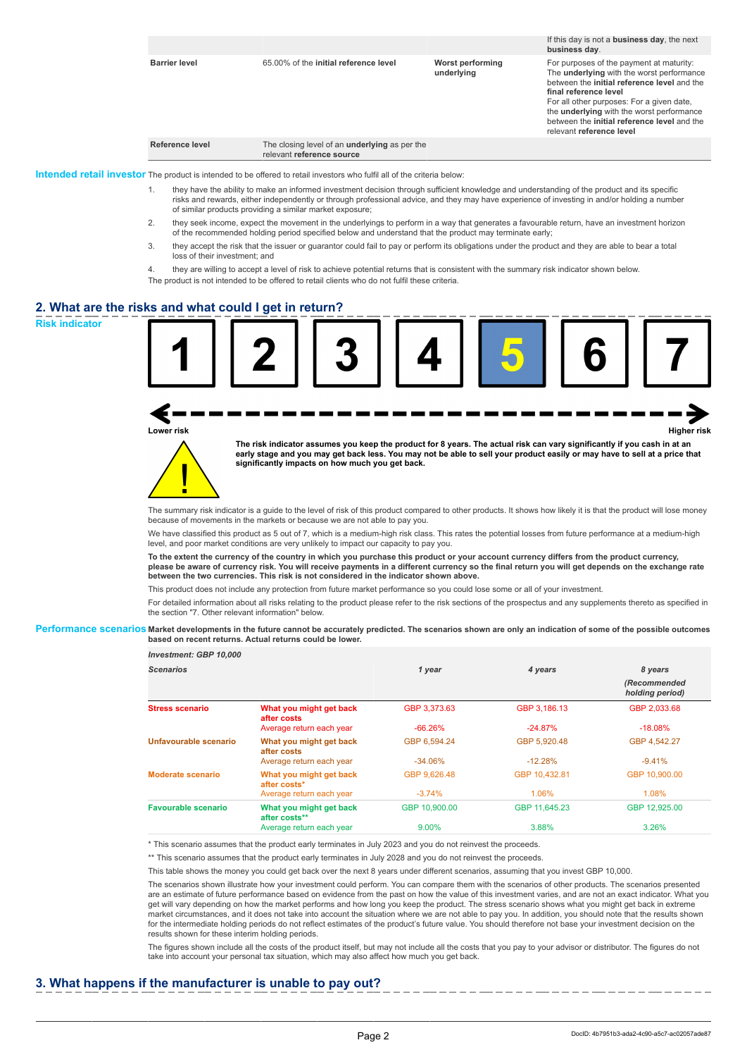|                      |                                                                                   |                                | If this day is not a <b>business day</b> , the next<br>business day.                                                                                                                                                                                                                                                                                    |
|----------------------|-----------------------------------------------------------------------------------|--------------------------------|---------------------------------------------------------------------------------------------------------------------------------------------------------------------------------------------------------------------------------------------------------------------------------------------------------------------------------------------------------|
| <b>Barrier level</b> | 65.00% of the initial reference level                                             | Worst performing<br>underlying | For purposes of the payment at maturity:<br>The <b>underlying</b> with the worst performance<br>between the initial reference level and the<br>final reference level<br>For all other purposes: For a given date,<br>the <b>underlying</b> with the worst performance<br>between the <b>initial reference level</b> and the<br>relevant reference level |
| Reference level      | The closing level of an <b>underlying</b> as per the<br>relevant reference source |                                |                                                                                                                                                                                                                                                                                                                                                         |

The product is intended to be offered to retail investors who fulfil all of the criteria below.

- 1. they have the ability to make an informed investment decision through sufficient knowledge and understanding of the product and its specific risks and rewards, either independently or through professional advice, and they may have experience of investing in and/or holding a number of similar products providing a similar market exposure;
- 2. they seek income, expect the movement in the underlyings to perform in a way that generates a favourable return, have an investment horizon of the recommended holding period specified below and understand that the product may terminate early;
- 3. they accept the risk that the issuer or guarantor could fail to pay or perform its obligations under the product and they are able to bear a total loss of their investment; and
- 4. they are willing to accept a level of risk to achieve potential returns that is consistent with the summary risk indicator shown below.

The product is not intended to be offered to retail clients who do not fulfil these criteria.

#### **2. What are the risks and what could I get in return?**



**Lower risk Higher risk**



**The risk indicator assumes you keep the product for 8 years. The actual risk can vary significantly if you cash in at an early stage and you may get back less. You may not be able to sell your product easily or may have to sell at a price that significantly impacts on how much you get back.**

The summary risk indicator is a guide to the level of risk of this product compared to other products. It shows how likely it is that the product will lose money because of movements in the markets or because we are not able to pay you.

We have classified this product as 5 out of 7, which is a medium-high risk class. This rates the potential losses from future performance at a medium-high level, and poor market conditions are very unlikely to impact our capacity to pay you.

**To the extent the currency of the country in which you purchase this product or your account currency differs from the product currency, please be aware of currency risk. You will receive payments in a different currency so the final return you will get depends on the exchange rate between the two currencies. This risk is not considered in the indicator shown above.**

This product does not include any protection from future market performance so you could lose some or all of your investment.

For detailed information about all risks relating to the product please refer to the risk sections of the prospectus and any supplements thereto as specified in the section "7. Other relevant information" below.

#### **Performance scenarios Market developments in the future cannot be accurately predicted. The scenarios shown are only an indication of some of the possible outcomes based on recent returns. Actual returns could be lower.**

| Investment: GBP 10,000     |                                          |               |               |                                 |
|----------------------------|------------------------------------------|---------------|---------------|---------------------------------|
| <b>Scenarios</b>           |                                          | 1 year        | 4 years       | 8 years                         |
|                            |                                          |               |               | (Recommended<br>holding period) |
| <b>Stress scenario</b>     | What you might get back<br>after costs   | GBP 3.373.63  | GBP 3.186.13  | GBP 2.033.68                    |
|                            | Average return each year                 | $-66.26%$     | $-24.87%$     | $-18.08\%$                      |
| Unfavourable scenario      | What you might get back<br>after costs   | GBP 6.594.24  | GBP 5.920.48  | GBP 4.542.27                    |
|                            | Average return each year                 | $-34.06\%$    | $-12.28%$     | $-9.41%$                        |
| Moderate scenario          | What you might get back<br>after costs*  | GBP 9.626.48  | GBP 10.432.81 | GBP 10.900.00                   |
|                            | Average return each year                 | $-3.74%$      | 1.06%         | 1.08%                           |
| <b>Favourable scenario</b> | What you might get back<br>after costs** | GBP 10.900.00 | GBP 11.645.23 | GBP 12.925.00                   |
|                            | Average return each year                 | 9.00%         | 3.88%         | 3.26%                           |

\* This scenario assumes that the product early terminates in July 2023 and you do not reinvest the proceeds.

\*\* This scenario assumes that the product early terminates in July 2028 and you do not reinvest the proceeds.

This table shows the money you could get back over the next 8 years under different scenarios, assuming that you invest GBP 10,000.

The scenarios shown illustrate how your investment could perform. You can compare them with the scenarios of other products. The scenarios presented are an estimate of future performance based on evidence from the past on how the value of this investment varies, and are not an exact indicator. What you get will vary depending on how the market performs and how long you keep the product. The stress scenario shows what you might get back in extreme market circumstances, and it does not take into account the situation where we are not able to pay you. In addition, you should note that the results shown for the intermediate holding periods do not reflect estimates of the product's future value. You should therefore not base your investment decision on the results shown for these interim holding periods.

The figures shown include all the costs of the product itself, but may not include all the costs that you pay to your advisor or distributor. The figures do not take into account your personal tax situation, which may also affect how much you get back.

# **3. What happens if the manufacturer is unable to pay out?**

DocID: 4b7951b3-ada2-4c90-a5c7-ac02057ade87